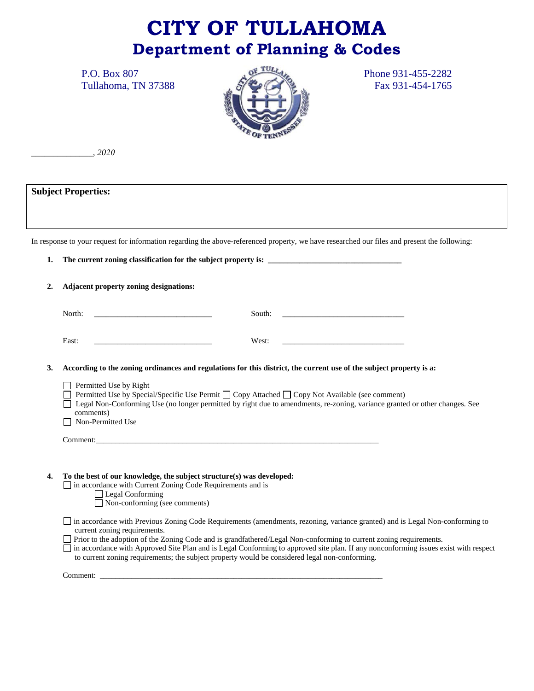# **CITY OF TULLAHOMA Department of Planning & Codes**



*\_\_\_\_\_\_\_\_\_\_\_\_\_\_, 2020*

**Subject Properties:** 

In response to your request for information regarding the above-referenced property, we have researched our files and present the following:

**1.** The current zoning classification for the subject property is:  $\Box$ **2. Adjacent property zoning designations:** North: \_\_\_\_\_\_\_\_\_\_\_\_\_\_\_\_\_\_\_\_\_\_\_\_\_\_\_\_\_\_ South: \_\_\_\_\_\_\_\_\_\_\_\_\_\_\_\_\_\_\_\_\_\_\_\_\_\_\_\_\_\_\_ East: \_\_\_\_\_\_\_\_\_\_\_\_\_\_\_\_\_\_\_\_\_\_\_\_\_\_\_\_\_\_ West: \_\_\_\_\_\_\_\_\_\_\_\_\_\_\_\_\_\_\_\_\_\_\_\_\_\_\_\_\_\_\_ **3. According to the zoning ordinances and regulations for this district, the current use of the subject property is a:**  $\Box$  Permitted Use by Right  $\Box$  Permitted Use by Special/Specific Use Permit  $\Box$  Copy Attached  $\Box$  Copy Not Available (see comment) Legal Non-Conforming Use (no longer permitted by right due to amendments, re-zoning, variance granted or other changes. See comments) Non-Permitted Use Comment:\_\_\_\_\_\_\_\_\_\_\_\_\_\_\_\_\_\_\_\_\_\_\_\_\_\_\_\_\_\_\_\_\_\_\_\_\_\_\_\_\_\_\_\_\_\_\_\_\_\_\_\_\_\_\_\_\_\_\_\_\_\_\_\_\_\_\_\_\_\_\_\_ **4. To the best of our knowledge, the subject structure(s) was developed:** in accordance with Current Zoning Code Requirements and is Legal Conforming Non-conforming (see comments) in accordance with Previous Zoning Code Requirements (amendments, rezoning, variance granted) and is Legal Non-conforming to current zoning requirements. Prior to the adoption of the Zoning Code and is grandfathered/Legal Non-conforming to current zoning requirements. in accordance with Approved Site Plan and is Legal Conforming to approved site plan. If any nonconforming issues exist with respect to current zoning requirements; the subject property would be considered legal non-conforming. Comment: